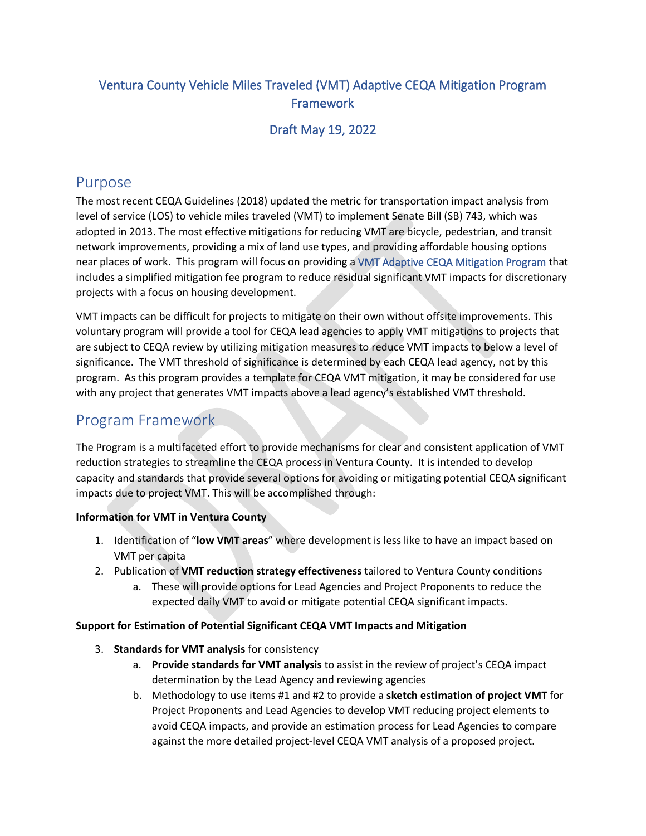## Ventura County Vehicle Miles Traveled (VMT) Adaptive CEQA Mitigation Program **Framework**

### Draft May 19, 2022

## Purpose

The most recent CEQA Guidelines (2018) updated the metric for transportation impact analysis from level of service (LOS) to vehicle miles traveled (VMT) to implement Senate Bill (SB) 743, which was adopted in 2013. The most effective mitigations for reducing VMT are bicycle, pedestrian, and transit network improvements, providing a mix of land use types, and providing affordable housing options near places of work. This program will focus on providing a VMT Adaptive CEQA Mitigation Program that includes a simplified mitigation fee program to reduce residual significant VMT impacts for discretionary projects with a focus on housing development.

VMT impacts can be difficult for projects to mitigate on their own without offsite improvements. This voluntary program will provide a tool for CEQA lead agencies to apply VMT mitigations to projects that are subject to CEQA review by utilizing mitigation measures to reduce VMT impacts to below a level of significance. The VMT threshold of significance is determined by each CEQA lead agency, not by this program. As this program provides a template for CEQA VMT mitigation, it may be considered for use with any project that generates VMT impacts above a lead agency's established VMT threshold.

# Program Framework

The Program is a multifaceted effort to provide mechanisms for clear and consistent application of VMT reduction strategies to streamline the CEQA process in Ventura County. It is intended to develop capacity and standards that provide several options for avoiding or mitigating potential CEQA significant impacts due to project VMT. This will be accomplished through:

#### **Information for VMT in Ventura County**

- 1. Identification of "**low VMT areas**" where development is less like to have an impact based on VMT per capita
- 2. Publication of **VMT reduction strategy effectiveness** tailored to Ventura County conditions
	- a. These will provide options for Lead Agencies and Project Proponents to reduce the expected daily VMT to avoid or mitigate potential CEQA significant impacts.

#### **Support for Estimation of Potential Significant CEQA VMT Impacts and Mitigation**

- 3. **Standards for VMT analysis** for consistency
	- a. **Provide standards for VMT analysis** to assist in the review of project's CEQA impact determination by the Lead Agency and reviewing agencies
	- b. Methodology to use items #1 and #2 to provide a **sketch estimation of project VMT** for Project Proponents and Lead Agencies to develop VMT reducing project elements to avoid CEQA impacts, and provide an estimation process for Lead Agencies to compare against the more detailed project-level CEQA VMT analysis of a proposed project.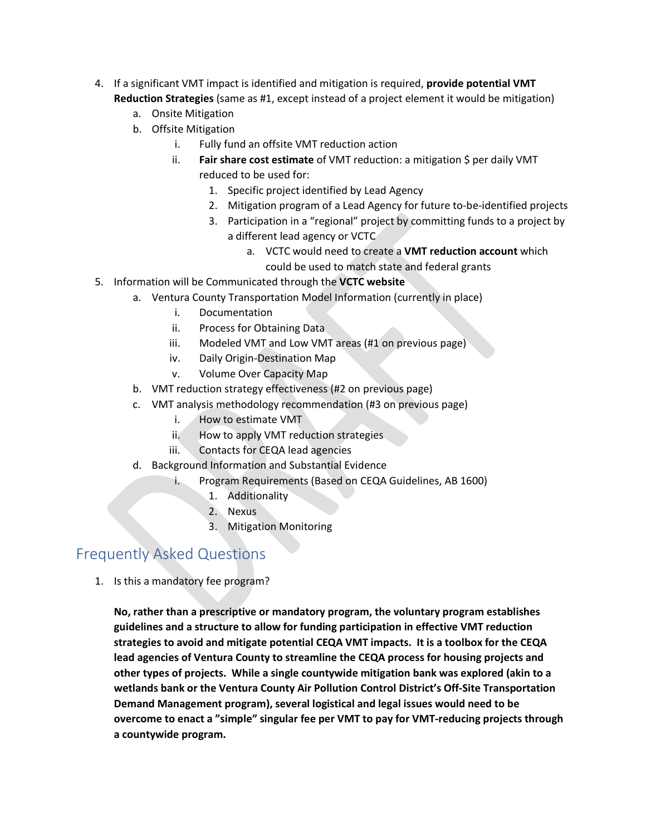- 4. If a significant VMT impact is identified and mitigation is required, **provide potential VMT Reduction Strategies** (same as #1, except instead of a project element it would be mitigation)
	- a. Onsite Mitigation
	- b. Offsite Mitigation
		- i. Fully fund an offsite VMT reduction action
		- ii. **Fair share cost estimate** of VMT reduction: a mitigation \$ per daily VMT reduced to be used for:
			- 1. Specific project identified by Lead Agency
			- 2. Mitigation program of a Lead Agency for future to-be-identified projects
			- 3. Participation in a "regional" project by committing funds to a project by a different lead agency or VCTC
				- a. VCTC would need to create a **VMT reduction account** which could be used to match state and federal grants
- 5. Information will be Communicated through the **VCTC website**
	- a. Ventura County Transportation Model Information (currently in place)
		- i. Documentation
		- ii. Process for Obtaining Data
		- iii. Modeled VMT and Low VMT areas (#1 on previous page)
		- iv. Daily Origin-Destination Map
		- v. Volume Over Capacity Map
	- b. VMT reduction strategy effectiveness (#2 on previous page)
	- c. VMT analysis methodology recommendation (#3 on previous page)
		- i. How to estimate VMT
		- ii. How to apply VMT reduction strategies
		- iii. Contacts for CEQA lead agencies
	- d. Background Information and Substantial Evidence
		- i. Program Requirements (Based on CEQA Guidelines, AB 1600)
			- 1. Additionality
			- 2. Nexus
			- 3. Mitigation Monitoring

# Frequently Asked Questions

1. Is this a mandatory fee program?

**No, rather than a prescriptive or mandatory program, the voluntary program establishes guidelines and a structure to allow for funding participation in effective VMT reduction strategies to avoid and mitigate potential CEQA VMT impacts. It is a toolbox for the CEQA lead agencies of Ventura County to streamline the CEQA process for housing projects and other types of projects. While a single countywide mitigation bank was explored (akin to a wetlands bank or the Ventura County Air Pollution Control District's Off-Site Transportation Demand Management program), several logistical and legal issues would need to be overcome to enact a "simple" singular fee per VMT to pay for VMT-reducing projects through a countywide program.**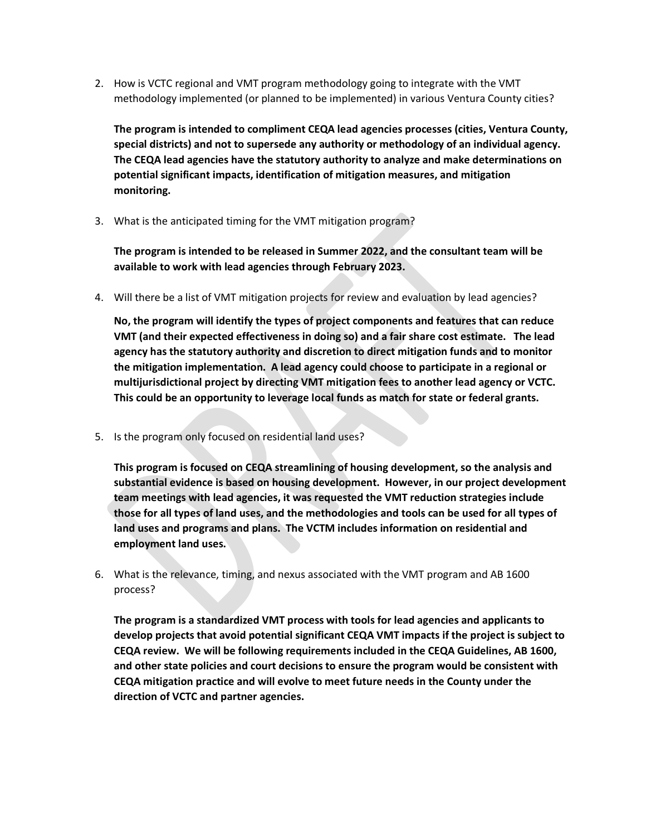2. How is VCTC regional and VMT program methodology going to integrate with the VMT methodology implemented (or planned to be implemented) in various Ventura County cities?

**The program is intended to compliment CEQA lead agencies processes (cities, Ventura County, special districts) and not to supersede any authority or methodology of an individual agency. The CEQA lead agencies have the statutory authority to analyze and make determinations on potential significant impacts, identification of mitigation measures, and mitigation monitoring.** 

3. What is the anticipated timing for the VMT mitigation program?

**The program is intended to be released in Summer 2022, and the consultant team will be available to work with lead agencies through February 2023.** 

4. Will there be a list of VMT mitigation projects for review and evaluation by lead agencies?

**No, the program will identify the types of project components and features that can reduce VMT (and their expected effectiveness in doing so) and a fair share cost estimate. The lead agency has the statutory authority and discretion to direct mitigation funds and to monitor the mitigation implementation. A lead agency could choose to participate in a regional or multijurisdictional project by directing VMT mitigation fees to another lead agency or VCTC. This could be an opportunity to leverage local funds as match for state or federal grants.** 

5. Is the program only focused on residential land uses?

**This program is focused on CEQA streamlining of housing development, so the analysis and substantial evidence is based on housing development. However, in our project development team meetings with lead agencies, it was requested the VMT reduction strategies include those for all types of land uses, and the methodologies and tools can be used for all types of land uses and programs and plans. The VCTM includes information on residential and employment land uses.** 

6. What is the relevance, timing, and nexus associated with the VMT program and AB 1600 process?

**The program is a standardized VMT process with tools for lead agencies and applicants to develop projects that avoid potential significant CEQA VMT impacts if the project is subject to CEQA review. We will be following requirements included in the CEQA Guidelines, AB 1600, and other state policies and court decisions to ensure the program would be consistent with CEQA mitigation practice and will evolve to meet future needs in the County under the direction of VCTC and partner agencies.**